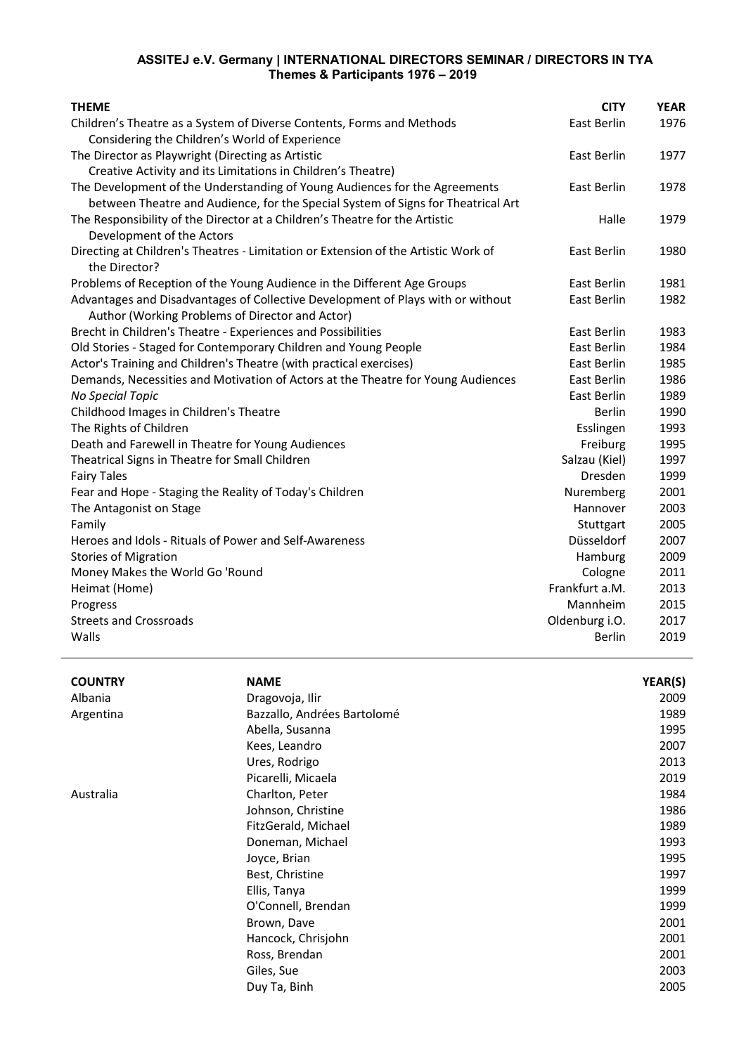## **ASSITEJ e.V. Germany | INTERNATIONAL DIRECTORS SEMINAR / DIRECTORS IN TYA Themes & Participants 1976 – 2019**

| <b>THEME</b>                                                                       | <b>CITY</b>    | <b>YEAR</b> |
|------------------------------------------------------------------------------------|----------------|-------------|
| Children's Theatre as a System of Diverse Contents, Forms and Methods              | East Berlin    | 1976        |
| Considering the Children's World of Experience                                     |                |             |
| The Director as Playwright (Directing as Artistic                                  | East Berlin    | 1977        |
| Creative Activity and its Limitations in Children's Theatre)                       |                |             |
| The Development of the Understanding of Young Audiences for the Agreements         | East Berlin    | 1978        |
| between Theatre and Audience, for the Special System of Signs for Theatrical Art   |                |             |
| The Responsibility of the Director at a Children's Theatre for the Artistic        | Halle          | 1979        |
| Development of the Actors                                                          |                |             |
| Directing at Children's Theatres - Limitation or Extension of the Artistic Work of | East Berlin    | 1980        |
| the Director?                                                                      |                |             |
| Problems of Reception of the Young Audience in the Different Age Groups            | East Berlin    | 1981        |
| Advantages and Disadvantages of Collective Development of Plays with or without    | East Berlin    | 1982        |
| Author (Working Problems of Director and Actor)                                    |                |             |
| Brecht in Children's Theatre - Experiences and Possibilities                       | East Berlin    | 1983        |
| Old Stories - Staged for Contemporary Children and Young People                    | East Berlin    | 1984        |
| Actor's Training and Children's Theatre (with practical exercises)                 | East Berlin    | 1985        |
| Demands, Necessities and Motivation of Actors at the Theatre for Young Audiences   | East Berlin    | 1986        |
| <b>No Special Topic</b>                                                            | East Berlin    | 1989        |
| Childhood Images in Children's Theatre                                             | <b>Berlin</b>  | 1990        |
| The Rights of Children                                                             | Esslingen      | 1993        |
| Death and Farewell in Theatre for Young Audiences                                  | Freiburg       | 1995        |
| Theatrical Signs in Theatre for Small Children                                     | Salzau (Kiel)  | 1997        |
| <b>Fairy Tales</b>                                                                 | <b>Dresden</b> | 1999        |
| Fear and Hope - Staging the Reality of Today's Children                            | Nuremberg      | 2001        |
| The Antagonist on Stage                                                            | Hannover       | 2003        |
| Family                                                                             | Stuttgart      | 2005        |
| Heroes and Idols - Rituals of Power and Self-Awareness                             | Düsseldorf     | 2007        |
| <b>Stories of Migration</b>                                                        | Hamburg        | 2009        |
| Money Makes the World Go 'Round                                                    | Cologne        | 2011        |
| Heimat (Home)                                                                      | Frankfurt a.M. | 2013        |
| Progress                                                                           | Mannheim       | 2015        |
| <b>Streets and Crossroads</b>                                                      | Oldenburg i.O. | 2017        |
| Walls                                                                              | <b>Berlin</b>  | 2019        |
|                                                                                    |                |             |

| <b>COUNTRY</b> | <b>NAME</b>                 | YEAR(S) |
|----------------|-----------------------------|---------|
| Albania        | Dragovoja, Ilir             | 2009    |
| Argentina      | Bazzallo, Andrées Bartolomé | 1989    |
|                | Abella, Susanna             | 1995    |
|                | Kees, Leandro               | 2007    |
|                | Ures, Rodrigo               | 2013    |
|                | Picarelli, Micaela          | 2019    |
| Australia      | Charlton, Peter             | 1984    |
|                | Johnson, Christine          | 1986    |
|                | FitzGerald, Michael         | 1989    |
|                | Doneman, Michael            | 1993    |
|                | Joyce, Brian                | 1995    |
|                | Best, Christine             | 1997    |
|                | Ellis, Tanya                | 1999    |
|                | O'Connell, Brendan          | 1999    |
|                | Brown, Dave                 | 2001    |
|                | Hancock, Chrisjohn          | 2001    |
|                | Ross, Brendan               | 2001    |
|                | Giles, Sue                  | 2003    |
|                | Duy Ta, Binh                | 2005    |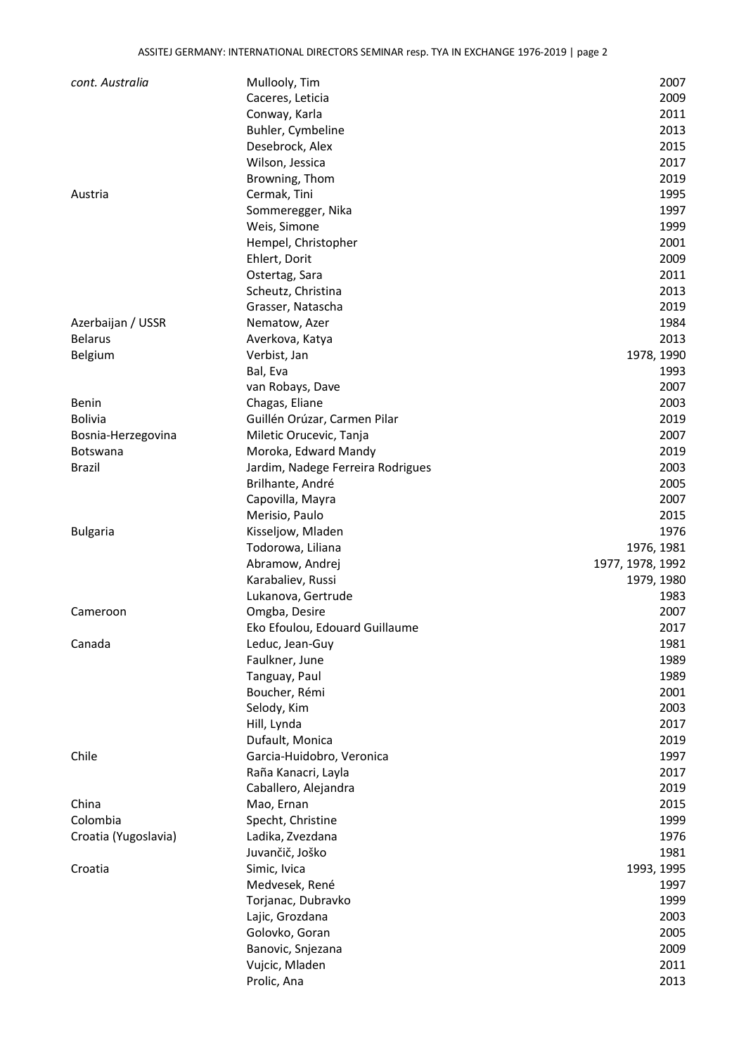| cont. Australia      | Mullooly, Tim                     | 2007             |
|----------------------|-----------------------------------|------------------|
|                      | Caceres, Leticia                  | 2009             |
|                      | Conway, Karla                     | 2011             |
|                      | Buhler, Cymbeline                 | 2013             |
|                      | Desebrock, Alex                   | 2015             |
|                      | Wilson, Jessica                   | 2017             |
|                      | Browning, Thom                    | 2019             |
| Austria              | Cermak, Tini                      | 1995             |
|                      | Sommeregger, Nika                 | 1997             |
|                      | Weis, Simone                      | 1999             |
|                      | Hempel, Christopher               | 2001             |
|                      | Ehlert, Dorit                     | 2009             |
|                      | Ostertag, Sara                    | 2011             |
|                      | Scheutz, Christina                | 2013             |
|                      | Grasser, Natascha                 | 2019             |
| Azerbaijan / USSR    | Nematow, Azer                     | 1984             |
| <b>Belarus</b>       | Averkova, Katya                   | 2013             |
| Belgium              | Verbist, Jan                      | 1978, 1990       |
|                      | Bal, Eva                          | 1993             |
|                      | van Robays, Dave                  | 2007             |
| Benin                | Chagas, Eliane                    | 2003             |
| <b>Bolivia</b>       | Guillén Orúzar, Carmen Pilar      | 2019             |
| Bosnia-Herzegovina   | Miletic Orucevic, Tanja           | 2007             |
| Botswana             | Moroka, Edward Mandy              | 2019             |
| <b>Brazil</b>        | Jardim, Nadege Ferreira Rodrigues | 2003             |
|                      | Brilhante, André                  | 2005             |
|                      | Capovilla, Mayra                  | 2007             |
|                      | Merisio, Paulo                    | 2015             |
| <b>Bulgaria</b>      | Kisseljow, Mladen                 | 1976             |
|                      | Todorowa, Liliana                 | 1976, 1981       |
|                      | Abramow, Andrej                   | 1977, 1978, 1992 |
|                      | Karabaliev, Russi                 | 1979, 1980       |
|                      | Lukanova, Gertrude                | 1983             |
| Cameroon             | Omgba, Desire                     | 2007             |
|                      | Eko Efoulou, Edouard Guillaume    | 2017             |
| Canada               | Leduc, Jean-Guy                   | 1981             |
|                      | Faulkner, June                    | 1989             |
|                      | Tanguay, Paul                     | 1989             |
|                      | Boucher, Rémi                     | 2001             |
|                      | Selody, Kim                       | 2003             |
|                      | Hill, Lynda                       | 2017             |
|                      | Dufault, Monica                   | 2019             |
| Chile                | Garcia-Huidobro, Veronica         | 1997             |
|                      | Raña Kanacri, Layla               | 2017             |
|                      | Caballero, Alejandra              | 2019             |
| China                | Mao, Ernan                        | 2015             |
| Colombia             | Specht, Christine                 | 1999             |
| Croatia (Yugoslavia) | Ladika, Zvezdana                  | 1976             |
|                      | Juvančič, Joško                   | 1981             |
| Croatia              | Simic, Ivica                      | 1993, 1995       |
|                      | Medvesek, René                    | 1997             |
|                      | Torjanac, Dubravko                | 1999             |
|                      | Lajic, Grozdana                   | 2003             |
|                      | Golovko, Goran                    | 2005             |
|                      | Banovic, Snjezana                 | 2009             |
|                      | Vujcic, Mladen                    | 2011             |
|                      | Prolic, Ana                       | 2013             |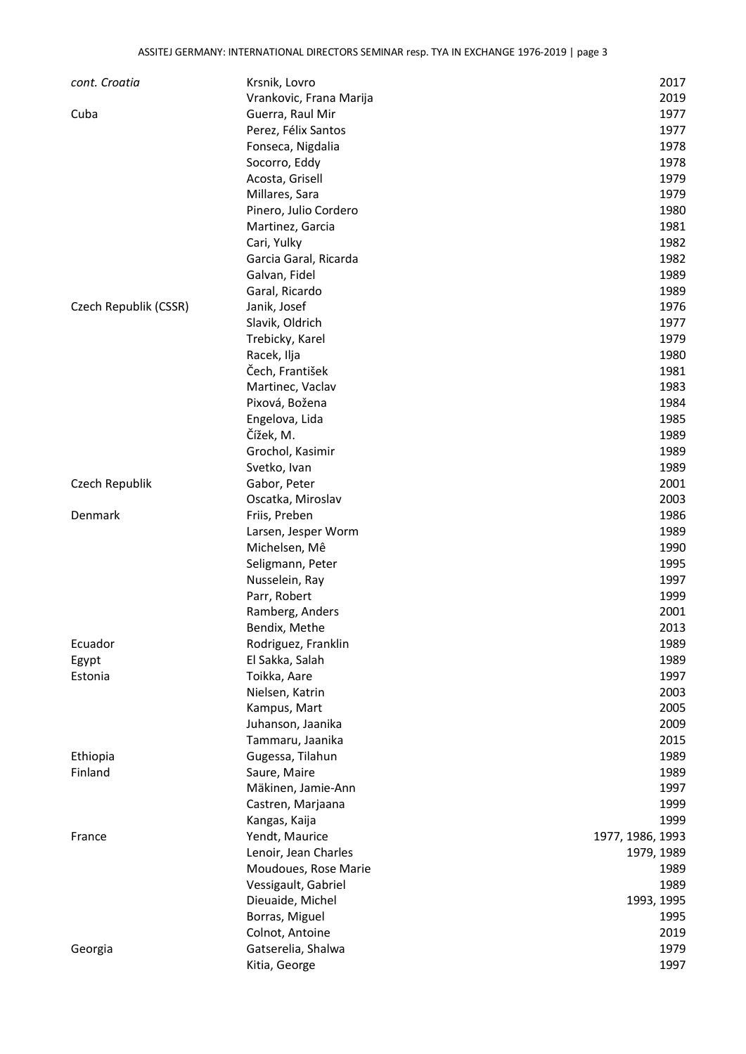| cont. Croatia         | Krsnik, Lovro           | 2017             |
|-----------------------|-------------------------|------------------|
|                       | Vrankovic, Frana Marija | 2019             |
| Cuba                  | Guerra, Raul Mir        | 1977             |
|                       | Perez, Félix Santos     | 1977             |
|                       | Fonseca, Nigdalia       | 1978             |
|                       | Socorro, Eddy           | 1978             |
|                       | Acosta, Grisell         | 1979             |
|                       | Millares, Sara          | 1979             |
|                       | Pinero, Julio Cordero   | 1980             |
|                       | Martinez, Garcia        | 1981             |
|                       | Cari, Yulky             | 1982             |
|                       | Garcia Garal, Ricarda   | 1982             |
|                       | Galvan, Fidel           | 1989             |
|                       | Garal, Ricardo          | 1989             |
| Czech Republik (CSSR) | Janik, Josef            | 1976             |
|                       | Slavik, Oldrich         | 1977             |
|                       | Trebicky, Karel         | 1979             |
|                       | Racek, Ilja             | 1980             |
|                       | Čech, František         | 1981             |
|                       | Martinec, Vaclav        | 1983             |
|                       | Pixová, Božena          | 1984             |
|                       | Engelova, Lida          | 1985             |
|                       | Čížek, M.               | 1989             |
|                       | Grochol, Kasimir        | 1989             |
|                       | Svetko, Ivan            | 1989             |
| Czech Republik        | Gabor, Peter            | 2001             |
|                       | Oscatka, Miroslav       | 2003             |
| Denmark               | Friis, Preben           | 1986             |
|                       |                         | 1989             |
|                       | Larsen, Jesper Worm     |                  |
|                       | Michelsen, Mê           | 1990             |
|                       | Seligmann, Peter        | 1995             |
|                       | Nusselein, Ray          | 1997             |
|                       | Parr, Robert            | 1999             |
|                       | Ramberg, Anders         | 2001             |
|                       | Bendix, Methe           | 2013             |
| Ecuador               | Rodriguez, Franklin     | 1989             |
| Egypt                 | El Sakka, Salah         | 1989             |
| Estonia               | Toikka, Aare            | 1997             |
|                       | Nielsen, Katrin         | 2003             |
|                       | Kampus, Mart            | 2005             |
|                       | Juhanson, Jaanika       | 2009             |
|                       | Tammaru, Jaanika        | 2015             |
| Ethiopia              | Gugessa, Tilahun        | 1989             |
| Finland               | Saure, Maire            | 1989             |
|                       | Mäkinen, Jamie-Ann      | 1997             |
|                       | Castren, Marjaana       | 1999             |
|                       | Kangas, Kaija           | 1999             |
| France                | Yendt, Maurice          | 1977, 1986, 1993 |
|                       | Lenoir, Jean Charles    | 1979, 1989       |
|                       | Moudoues, Rose Marie    | 1989             |
|                       | Vessigault, Gabriel     | 1989             |
|                       | Dieuaide, Michel        | 1993, 1995       |
|                       | Borras, Miguel          | 1995             |
|                       | Colnot, Antoine         | 2019             |
| Georgia               | Gatserelia, Shalwa      | 1979             |
|                       | Kitia, George           | 1997             |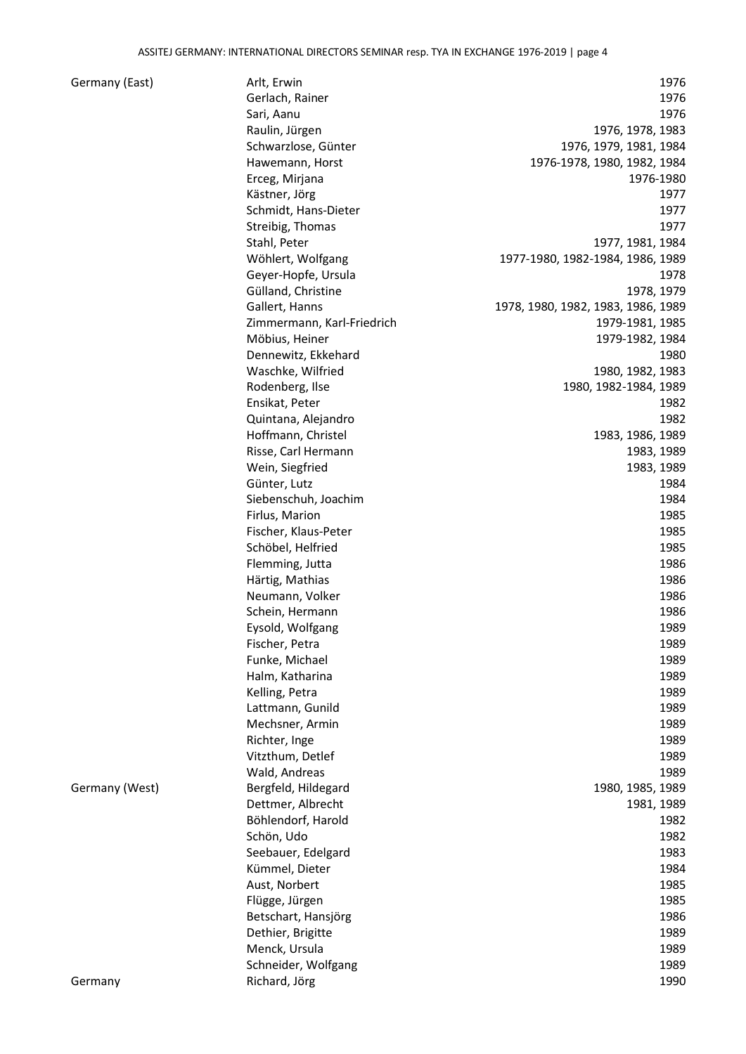## Germany (East)

| Germany (East) | Arlt, Erwin                | 1976                               |
|----------------|----------------------------|------------------------------------|
|                | Gerlach, Rainer            | 1976                               |
|                | Sari, Aanu                 | 1976                               |
|                | Raulin, Jürgen             | 1976, 1978, 1983                   |
|                | Schwarzlose, Günter        | 1976, 1979, 1981, 1984             |
|                | Hawemann, Horst            | 1976-1978, 1980, 1982, 1984        |
|                | Erceg, Mirjana             | 1976-1980                          |
|                | Kästner, Jörg              | 1977                               |
|                | Schmidt, Hans-Dieter       | 1977                               |
|                | Streibig, Thomas           | 1977                               |
|                | Stahl, Peter               | 1977, 1981, 1984                   |
|                | Wöhlert, Wolfgang          | 1977-1980, 1982-1984, 1986, 1989   |
|                | Geyer-Hopfe, Ursula        | 1978                               |
|                | Gülland, Christine         | 1978, 1979                         |
|                | Gallert, Hanns             | 1978, 1980, 1982, 1983, 1986, 1989 |
|                | Zimmermann, Karl-Friedrich | 1979-1981, 1985                    |
|                | Möbius, Heiner             | 1979-1982, 1984                    |
|                | Dennewitz, Ekkehard        | 1980                               |
|                | Waschke, Wilfried          | 1980, 1982, 1983                   |
|                | Rodenberg, Ilse            | 1980, 1982-1984, 1989              |
|                | Ensikat, Peter             | 1982                               |
|                | Quintana, Alejandro        | 1982                               |
|                |                            |                                    |
|                | Hoffmann, Christel         | 1983, 1986, 1989                   |
|                | Risse, Carl Hermann        | 1983, 1989                         |
|                | Wein, Siegfried            | 1983, 1989                         |
|                | Günter, Lutz               | 1984                               |
|                | Siebenschuh, Joachim       | 1984                               |
|                | Firlus, Marion             | 1985                               |
|                | Fischer, Klaus-Peter       | 1985                               |
|                | Schöbel, Helfried          | 1985                               |
|                | Flemming, Jutta            | 1986                               |
|                | Härtig, Mathias            | 1986                               |
|                | Neumann, Volker            | 1986                               |
|                | Schein, Hermann            | 1986                               |
|                | Eysold, Wolfgang           | 1989                               |
|                | Fischer, Petra             | 1989                               |
|                | Funke, Michael             | 1989                               |
|                | Halm, Katharina            | 1989                               |
|                | Kelling, Petra             | 1989                               |
|                | Lattmann, Gunild           | 1989                               |
|                | Mechsner, Armin            | 1989                               |
|                | Richter, Inge              | 1989                               |
|                | Vitzthum, Detlef           | 1989                               |
|                | Wald, Andreas              | 1989                               |
| Germany (West) | Bergfeld, Hildegard        | 1980, 1985, 1989                   |
|                | Dettmer, Albrecht          | 1981, 1989                         |
|                | Böhlendorf, Harold         | 1982                               |
|                | Schön, Udo                 | 1982                               |
|                | Seebauer, Edelgard         | 1983                               |
|                | Kümmel, Dieter             | 1984                               |
|                | Aust, Norbert              | 1985                               |
|                | Flügge, Jürgen             | 1985                               |
|                | Betschart, Hansjörg        | 1986                               |
|                | Dethier, Brigitte          | 1989                               |
|                | Menck, Ursula              | 1989                               |
|                | Schneider, Wolfgang        | 1989                               |
| Germany        | Richard, Jörg              | 1990                               |
|                |                            |                                    |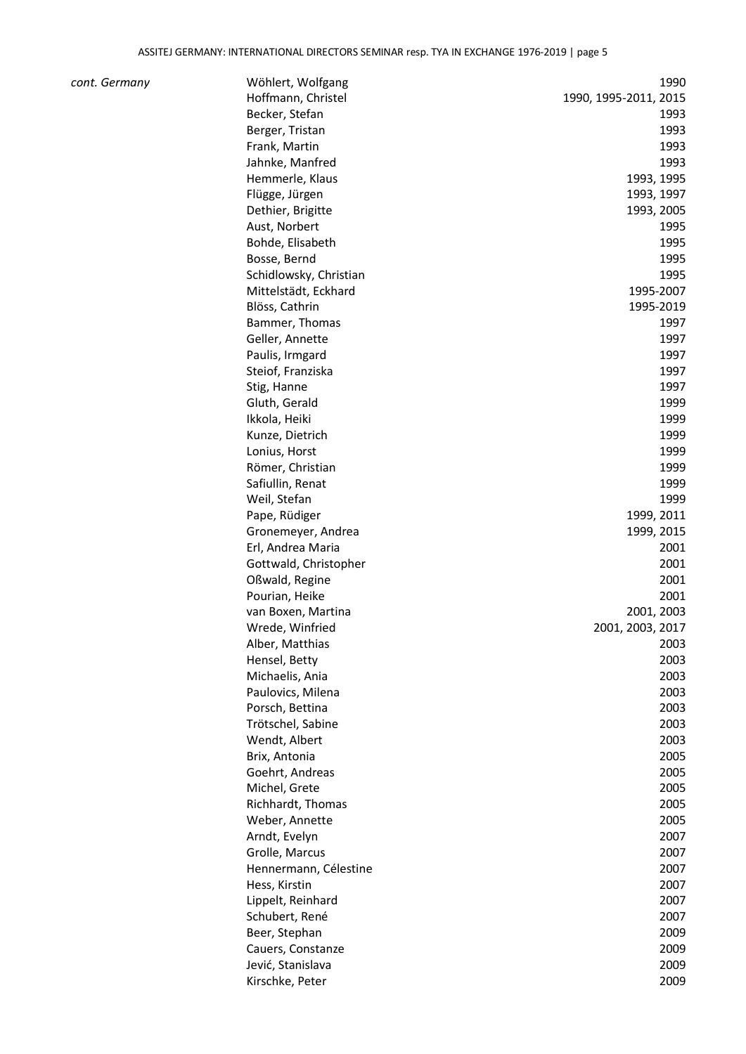| cont. Germany | Wöhlert, Wolfgang      | 1990                  |
|---------------|------------------------|-----------------------|
|               | Hoffmann, Christel     | 1990, 1995-2011, 2015 |
|               | Becker, Stefan         | 1993                  |
|               | Berger, Tristan        | 1993                  |
|               | Frank, Martin          | 1993                  |
|               | Jahnke, Manfred        | 1993                  |
|               | Hemmerle, Klaus        | 1993, 1995            |
|               | Flügge, Jürgen         | 1993, 1997            |
|               | Dethier, Brigitte      | 1993, 2005            |
|               | Aust, Norbert          | 1995                  |
|               | Bohde, Elisabeth       | 1995                  |
|               | Bosse, Bernd           | 1995                  |
|               | Schidlowsky, Christian | 1995                  |
|               | Mittelstädt, Eckhard   | 1995-2007             |
|               | Blöss, Cathrin         | 1995-2019             |
|               | Bammer, Thomas         | 1997                  |
|               | Geller, Annette        | 1997                  |
|               | Paulis, Irmgard        | 1997                  |
|               | Steiof, Franziska      | 1997                  |
|               | Stig, Hanne            | 1997                  |
|               | Gluth, Gerald          | 1999                  |
|               | Ikkola, Heiki          | 1999                  |
|               | Kunze, Dietrich        | 1999                  |
|               | Lonius, Horst          | 1999                  |
|               | Römer, Christian       | 1999                  |
|               | Safiullin, Renat       | 1999                  |
|               | Weil, Stefan           | 1999                  |
|               | Pape, Rüdiger          | 1999, 2011            |
|               | Gronemeyer, Andrea     | 1999, 2015            |
|               | Erl, Andrea Maria      | 2001                  |
|               | Gottwald, Christopher  | 2001                  |
|               | Oßwald, Regine         | 2001                  |
|               | Pourian, Heike         | 2001                  |
|               | van Boxen, Martina     | 2001, 2003            |
|               | Wrede, Winfried        | 2001, 2003, 2017      |
|               | Alber, Matthias        | 2003                  |
|               | Hensel, Betty          | 2003                  |
|               | Michaelis, Ania        | 2003                  |
|               | Paulovics, Milena      | 2003                  |
|               | Porsch, Bettina        | 2003                  |
|               | Trötschel, Sabine      | 2003                  |
|               | Wendt, Albert          | 2003                  |
|               | Brix, Antonia          | 2005                  |
|               | Goehrt, Andreas        | 2005                  |
|               | Michel, Grete          | 2005                  |
|               | Richhardt, Thomas      | 2005                  |
|               | Weber, Annette         | 2005                  |
|               | Arndt, Evelyn          | 2007                  |
|               | Grolle, Marcus         | 2007                  |
|               | Hennermann, Célestine  | 2007                  |
|               | Hess, Kirstin          | 2007                  |
|               | Lippelt, Reinhard      | 2007                  |
|               | Schubert, René         | 2007                  |
|               | Beer, Stephan          | 2009                  |
|               | Cauers, Constanze      | 2009                  |
|               | Jević, Stanislava      | 2009                  |
|               | Kirschke, Peter        | 2009                  |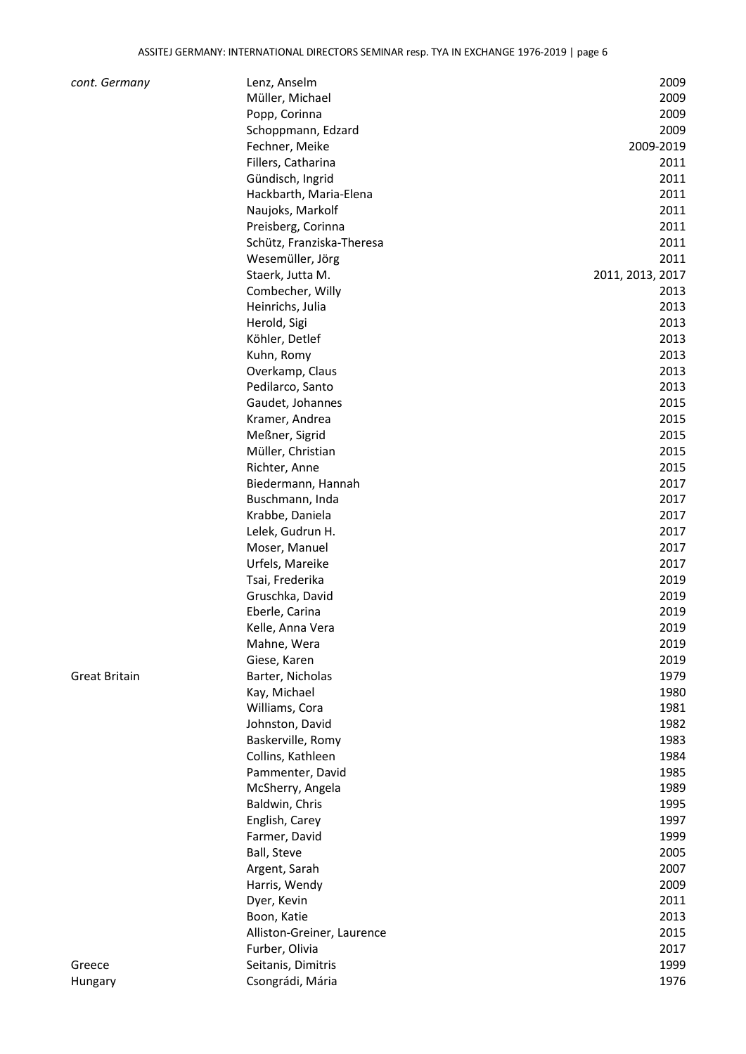| cont. Germany        | Lenz, Anselm               | 2009             |
|----------------------|----------------------------|------------------|
|                      | Müller, Michael            | 2009             |
|                      | Popp, Corinna              | 2009             |
|                      | Schoppmann, Edzard         | 2009             |
|                      | Fechner, Meike             | 2009-2019        |
|                      | Fillers, Catharina         | 2011             |
|                      | Gündisch, Ingrid           | 2011             |
|                      | Hackbarth, Maria-Elena     | 2011             |
|                      | Naujoks, Markolf           | 2011             |
|                      | Preisberg, Corinna         | 2011             |
|                      | Schütz, Franziska-Theresa  | 2011             |
|                      | Wesemüller, Jörg           | 2011             |
|                      | Staerk, Jutta M.           | 2011, 2013, 2017 |
|                      | Combecher, Willy           | 2013             |
|                      | Heinrichs, Julia           | 2013             |
|                      | Herold, Sigi               | 2013             |
|                      | Köhler, Detlef             | 2013             |
|                      | Kuhn, Romy                 | 2013             |
|                      | Overkamp, Claus            | 2013             |
|                      | Pedilarco, Santo           | 2013             |
|                      | Gaudet, Johannes           | 2015             |
|                      | Kramer, Andrea             | 2015             |
|                      | Meßner, Sigrid             | 2015             |
|                      | Müller, Christian          | 2015             |
|                      |                            | 2015             |
|                      | Richter, Anne              | 2017             |
|                      | Biedermann, Hannah         | 2017             |
|                      | Buschmann, Inda            |                  |
|                      | Krabbe, Daniela            | 2017             |
|                      | Lelek, Gudrun H.           | 2017             |
|                      | Moser, Manuel              | 2017             |
|                      | Urfels, Mareike            | 2017             |
|                      | Tsai, Frederika            | 2019             |
|                      | Gruschka, David            | 2019             |
|                      | Eberle, Carina             | 2019             |
|                      | Kelle, Anna Vera           | 2019             |
|                      | Mahne, Wera                | 2019             |
|                      | Giese, Karen               | 2019             |
| <b>Great Britain</b> | Barter, Nicholas           | 1979             |
|                      | Kay, Michael               | 1980             |
|                      | Williams, Cora             | 1981             |
|                      | Johnston, David            | 1982             |
|                      | Baskerville, Romy          | 1983             |
|                      | Collins, Kathleen          | 1984             |
|                      | Pammenter, David           | 1985             |
|                      | McSherry, Angela           | 1989             |
|                      | Baldwin, Chris             | 1995             |
|                      | English, Carey             | 1997             |
|                      | Farmer, David              | 1999             |
|                      | Ball, Steve                | 2005             |
|                      | Argent, Sarah              | 2007             |
|                      | Harris, Wendy              | 2009             |
|                      | Dyer, Kevin                | 2011             |
|                      | Boon, Katie                | 2013             |
|                      | Alliston-Greiner, Laurence | 2015             |
|                      | Furber, Olivia             | 2017             |
| Greece               | Seitanis, Dimitris         | 1999             |
| Hungary              | Csongrádi, Mária           | 1976             |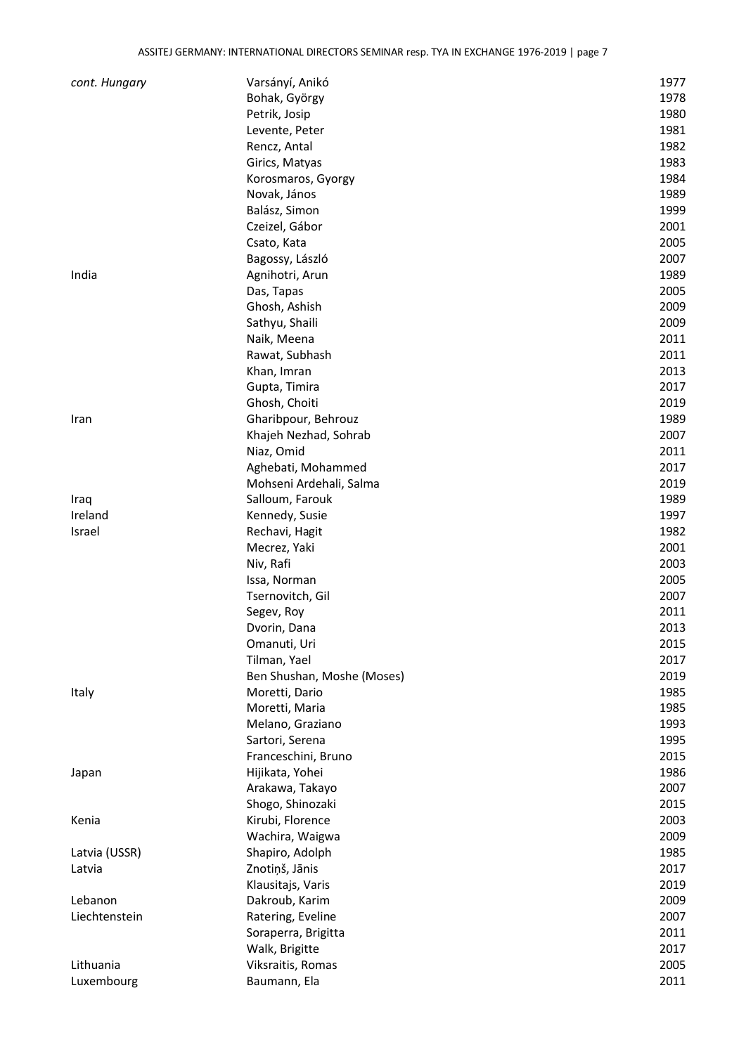| cont. Hungary | Varsányí, Anikó            | 1977 |
|---------------|----------------------------|------|
|               | Bohak, György              | 1978 |
|               | Petrik, Josip              | 1980 |
|               | Levente, Peter             | 1981 |
|               | Rencz, Antal               | 1982 |
|               | Girics, Matyas             | 1983 |
|               | Korosmaros, Gyorgy         | 1984 |
|               | Novak, János               | 1989 |
|               | Balász, Simon              | 1999 |
|               | Czeizel, Gábor             | 2001 |
|               | Csato, Kata                | 2005 |
|               | Bagossy, László            | 2007 |
| India         | Agnihotri, Arun            | 1989 |
|               | Das, Tapas                 | 2005 |
|               | Ghosh, Ashish              | 2009 |
|               | Sathyu, Shaili             | 2009 |
|               | Naik, Meena                | 2011 |
|               | Rawat, Subhash             | 2011 |
|               | Khan, Imran                | 2013 |
|               | Gupta, Timira              | 2017 |
|               | Ghosh, Choiti              | 2019 |
| Iran          | Gharibpour, Behrouz        | 1989 |
|               | Khajeh Nezhad, Sohrab      | 2007 |
|               | Niaz, Omid                 | 2011 |
|               | Aghebati, Mohammed         | 2017 |
|               | Mohseni Ardehali, Salma    | 2019 |
| Iraq          | Salloum, Farouk            | 1989 |
| Ireland       | Kennedy, Susie             | 1997 |
| Israel        | Rechavi, Hagit             | 1982 |
|               | Mecrez, Yaki               | 2001 |
|               | Niv, Rafi                  | 2003 |
|               | Issa, Norman               | 2005 |
|               | Tsernovitch, Gil           | 2007 |
|               | Segev, Roy                 | 2011 |
|               | Dvorin, Dana               | 2013 |
|               | Omanuti, Uri               | 2015 |
|               | Tilman, Yael               | 2017 |
|               | Ben Shushan, Moshe (Moses) | 2019 |
| Italy         | Moretti, Dario             | 1985 |
|               | Moretti, Maria             | 1985 |
|               | Melano, Graziano           | 1993 |
|               | Sartori, Serena            | 1995 |
|               | Franceschini, Bruno        | 2015 |
| Japan         | Hijikata, Yohei            | 1986 |
|               | Arakawa, Takayo            | 2007 |
|               | Shogo, Shinozaki           | 2015 |
| Kenia         | Kirubi, Florence           | 2003 |
|               | Wachira, Waigwa            | 2009 |
| Latvia (USSR) | Shapiro, Adolph            | 1985 |
| Latvia        | Znotiņš, Jānis             | 2017 |
|               | Klausitajs, Varis          | 2019 |
| Lebanon       | Dakroub, Karim             | 2009 |
| Liechtenstein | Ratering, Eveline          | 2007 |
|               | Soraperra, Brigitta        | 2011 |
|               | Walk, Brigitte             | 2017 |
| Lithuania     | Viksraitis, Romas          | 2005 |
| Luxembourg    | Baumann, Ela               | 2011 |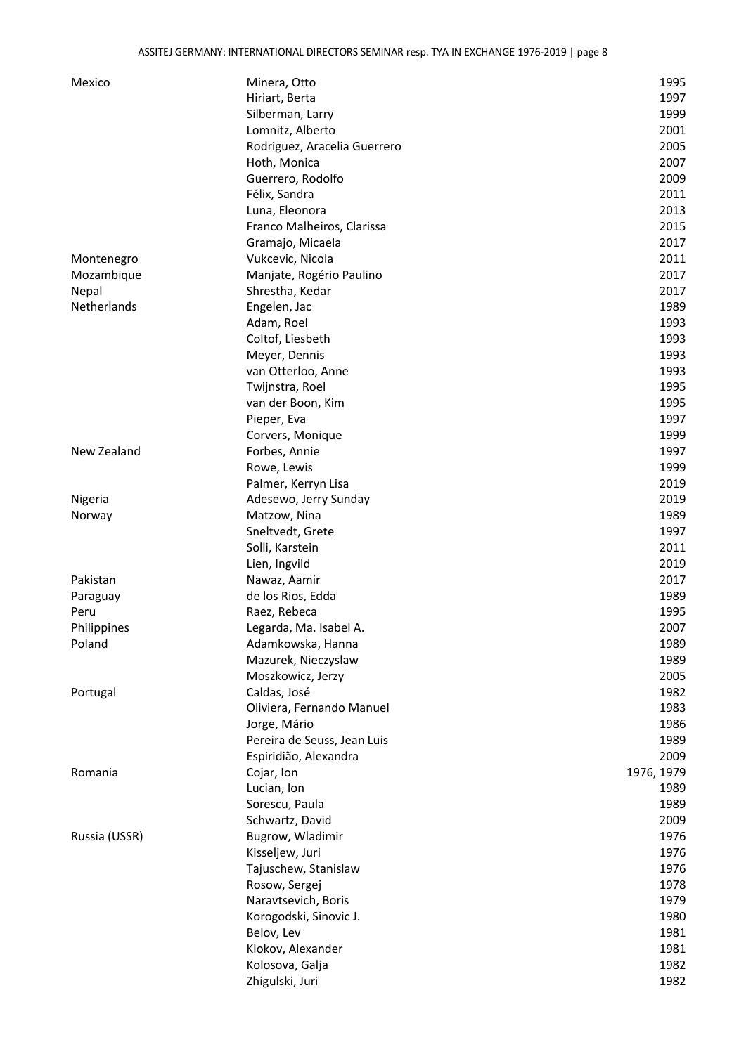| Mexico        | Minera, Otto                 | 1995       |
|---------------|------------------------------|------------|
|               | Hiriart, Berta               | 1997       |
|               | Silberman, Larry             | 1999       |
|               | Lomnitz, Alberto             | 2001       |
|               | Rodriguez, Aracelia Guerrero | 2005       |
|               | Hoth, Monica                 | 2007       |
|               | Guerrero, Rodolfo            | 2009       |
|               | Félix, Sandra                | 2011       |
|               | Luna, Eleonora               | 2013       |
|               | Franco Malheiros, Clarissa   | 2015       |
|               | Gramajo, Micaela             | 2017       |
| Montenegro    | Vukcevic, Nicola             | 2011       |
| Mozambique    | Manjate, Rogério Paulino     | 2017       |
| Nepal         | Shrestha, Kedar              | 2017       |
| Netherlands   | Engelen, Jac                 | 1989       |
|               | Adam, Roel                   | 1993       |
|               | Coltof, Liesbeth             | 1993       |
|               | Meyer, Dennis                | 1993       |
|               | van Otterloo, Anne           | 1993       |
|               | Twijnstra, Roel              | 1995       |
|               | van der Boon, Kim            | 1995       |
|               |                              | 1997       |
|               | Pieper, Eva                  |            |
|               | Corvers, Monique             | 1999       |
| New Zealand   | Forbes, Annie                | 1997       |
|               | Rowe, Lewis                  | 1999       |
|               | Palmer, Kerryn Lisa          | 2019       |
| Nigeria       | Adesewo, Jerry Sunday        | 2019       |
| Norway        | Matzow, Nina                 | 1989       |
|               | Sneltvedt, Grete             | 1997       |
|               | Solli, Karstein              | 2011       |
|               | Lien, Ingvild                | 2019       |
| Pakistan      | Nawaz, Aamir                 | 2017       |
| Paraguay      | de los Rios, Edda            | 1989       |
| Peru          | Raez, Rebeca                 | 1995       |
| Philippines   | Legarda, Ma. Isabel A.       | 2007       |
| Poland        | Adamkowska, Hanna            | 1989       |
|               | Mazurek, Nieczyslaw          | 1989       |
|               | Moszkowicz, Jerzy            | 2005       |
| Portugal      | Caldas, José                 | 1982       |
|               | Oliviera, Fernando Manuel    | 1983       |
|               | Jorge, Mário                 | 1986       |
|               | Pereira de Seuss, Jean Luis  | 1989       |
|               | Espiridião, Alexandra        | 2009       |
| Romania       | Cojar, Ion                   | 1976, 1979 |
|               | Lucian, Ion                  | 1989       |
|               | Sorescu, Paula               | 1989       |
|               | Schwartz, David              | 2009       |
| Russia (USSR) | Bugrow, Wladimir             | 1976       |
|               | Kisseljew, Juri              | 1976       |
|               | Tajuschew, Stanislaw         | 1976       |
|               | Rosow, Sergej                | 1978       |
|               | Naravtsevich, Boris          | 1979       |
|               | Korogodski, Sinovic J.       | 1980       |
|               | Belov, Lev                   | 1981       |
|               | Klokov, Alexander            | 1981       |
|               | Kolosova, Galja              | 1982       |
|               | Zhigulski, Juri              | 1982       |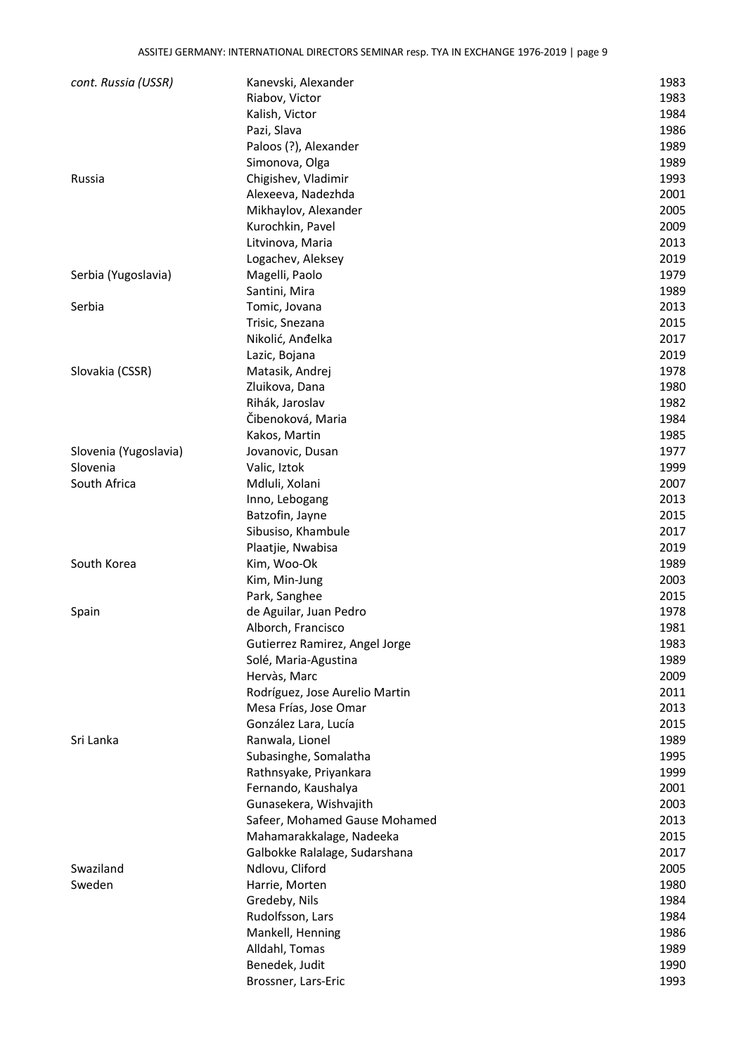| cont. Russia (USSR)   | Kanevski, Alexander            | 1983         |
|-----------------------|--------------------------------|--------------|
|                       | Riabov, Victor                 | 1983         |
|                       | Kalish, Victor                 | 1984         |
|                       | Pazi, Slava                    | 1986         |
|                       | Paloos (?), Alexander          | 1989         |
|                       | Simonova, Olga                 | 1989         |
| Russia                | Chigishev, Vladimir            | 1993         |
|                       | Alexeeva, Nadezhda             | 2001         |
|                       | Mikhaylov, Alexander           | 2005         |
|                       | Kurochkin, Pavel               | 2009         |
|                       | Litvinova, Maria               | 2013         |
|                       | Logachev, Aleksey              | 2019         |
| Serbia (Yugoslavia)   | Magelli, Paolo                 | 1979         |
|                       | Santini, Mira                  | 1989         |
| Serbia                | Tomic, Jovana                  | 2013         |
|                       | Trisic, Snezana                | 2015         |
|                       | Nikolić, Anđelka               | 2017         |
|                       |                                |              |
|                       | Lazic, Bojana                  | 2019<br>1978 |
| Slovakia (CSSR)       | Matasik, Andrej                |              |
|                       | Zluikova, Dana                 | 1980         |
|                       | Rihák, Jaroslav                | 1982         |
|                       | Čibenoková, Maria              | 1984         |
|                       | Kakos, Martin                  | 1985         |
| Slovenia (Yugoslavia) | Jovanovic, Dusan               | 1977         |
| Slovenia              | Valic, Iztok                   | 1999         |
| South Africa          | Mdluli, Xolani                 | 2007         |
|                       | Inno, Lebogang                 | 2013         |
|                       | Batzofin, Jayne                | 2015         |
|                       | Sibusiso, Khambule             | 2017         |
|                       | Plaatjie, Nwabisa              | 2019         |
| South Korea           | Kim, Woo-Ok                    | 1989         |
|                       | Kim, Min-Jung                  | 2003         |
|                       | Park, Sanghee                  | 2015         |
| Spain                 | de Aguilar, Juan Pedro         | 1978         |
|                       | Alborch, Francisco             | 1981         |
|                       | Gutierrez Ramirez, Angel Jorge | 1983         |
|                       | Solé, Maria-Agustina           | 1989         |
|                       | Hervàs, Marc                   | 2009         |
|                       | Rodríguez, Jose Aurelio Martin | 2011         |
|                       | Mesa Frías, Jose Omar          | 2013         |
|                       | González Lara, Lucía           | 2015         |
| Sri Lanka             | Ranwala, Lionel                | 1989         |
|                       | Subasinghe, Somalatha          | 1995         |
|                       | Rathnsyake, Priyankara         | 1999         |
|                       | Fernando, Kaushalya            | 2001         |
|                       | Gunasekera, Wishvajith         | 2003         |
|                       | Safeer, Mohamed Gause Mohamed  | 2013         |
|                       | Mahamarakkalage, Nadeeka       | 2015         |
|                       | Galbokke Ralalage, Sudarshana  | 2017         |
| Swaziland             | Ndlovu, Cliford                | 2005         |
| Sweden                | Harrie, Morten                 | 1980         |
|                       | Gredeby, Nils                  | 1984         |
|                       | Rudolfsson, Lars               | 1984         |
|                       | Mankell, Henning               | 1986         |
|                       | Alldahl, Tomas                 | 1989         |
|                       | Benedek, Judit                 | 1990         |
|                       | Brossner, Lars-Eric            | 1993         |
|                       |                                |              |